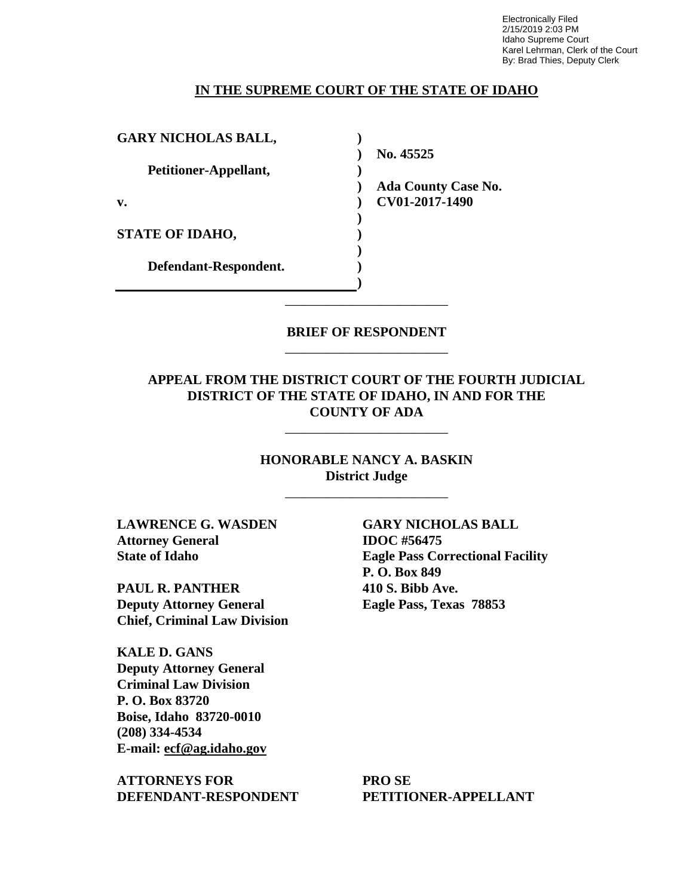Electronically Filed 2/15/2019 2:03 PM Idaho Supreme Court Karel Lehrman, Clerk of the Court By: Brad Thies, Deputy Clerk

#### **IN THE SUPREME COURT OF THE STATE OF IDAHO**

| <b>GARY NICHOLAS BALL,</b> |                            |
|----------------------------|----------------------------|
|                            | No. 45525                  |
| Petitioner-Appellant,      |                            |
|                            | <b>Ada County Case No.</b> |
| $\mathbf{v}$ .             | CV01-2017-1490             |
|                            |                            |
| <b>STATE OF IDAHO,</b>     |                            |
|                            |                            |
| Defendant-Respondent.      |                            |
|                            |                            |

#### **BRIEF OF RESPONDENT** \_\_\_\_\_\_\_\_\_\_\_\_\_\_\_\_\_\_\_\_\_\_\_\_

\_\_\_\_\_\_\_\_\_\_\_\_\_\_\_\_\_\_\_\_\_\_\_\_

### **APPEAL FROM THE DISTRICT COURT OF THE FOURTH JUDICIAL DISTRICT OF THE STATE OF IDAHO, IN AND FOR THE COUNTY OF ADA**

\_\_\_\_\_\_\_\_\_\_\_\_\_\_\_\_\_\_\_\_\_\_\_\_

## **HONORABLE NANCY A. BASKIN District Judge**

\_\_\_\_\_\_\_\_\_\_\_\_\_\_\_\_\_\_\_\_\_\_\_\_

**LAWRENCE G. WASDEN Attorney General State of Idaho** 

**PAUL R. PANTHER Deputy Attorney General Chief, Criminal Law Division**

**KALE D. GANS Deputy Attorney General Criminal Law Division P. O. Box 83720 Boise, Idaho 83720-0010 (208) 334-4534 E-mail: ecf@ag.idaho.gov** 

**ATTORNEYS FOR DEFENDANT-RESPONDENT**

**GARY NICHOLAS BALL IDOC #56475 Eagle Pass Correctional Facility P. O. Box 849 410 S. Bibb Ave. Eagle Pass, Texas 78853** 

**PRO SE PETITIONER-APPELLANT**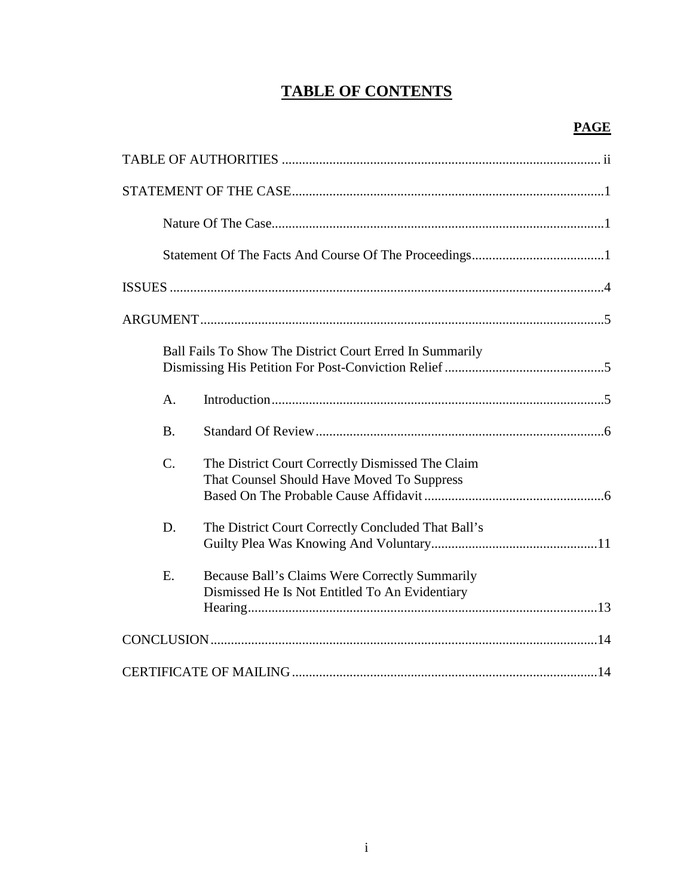## **TABLE OF CONTENTS**

| Ball Fails To Show The District Court Erred In Summarily                                               |
|--------------------------------------------------------------------------------------------------------|
| A <sub>1</sub>                                                                                         |
| <b>B.</b>                                                                                              |
| C.<br>The District Court Correctly Dismissed The Claim<br>That Counsel Should Have Moved To Suppress   |
| D.<br>The District Court Correctly Concluded That Ball's                                               |
| E.<br>Because Ball's Claims Were Correctly Summarily<br>Dismissed He Is Not Entitled To An Evidentiary |
|                                                                                                        |
|                                                                                                        |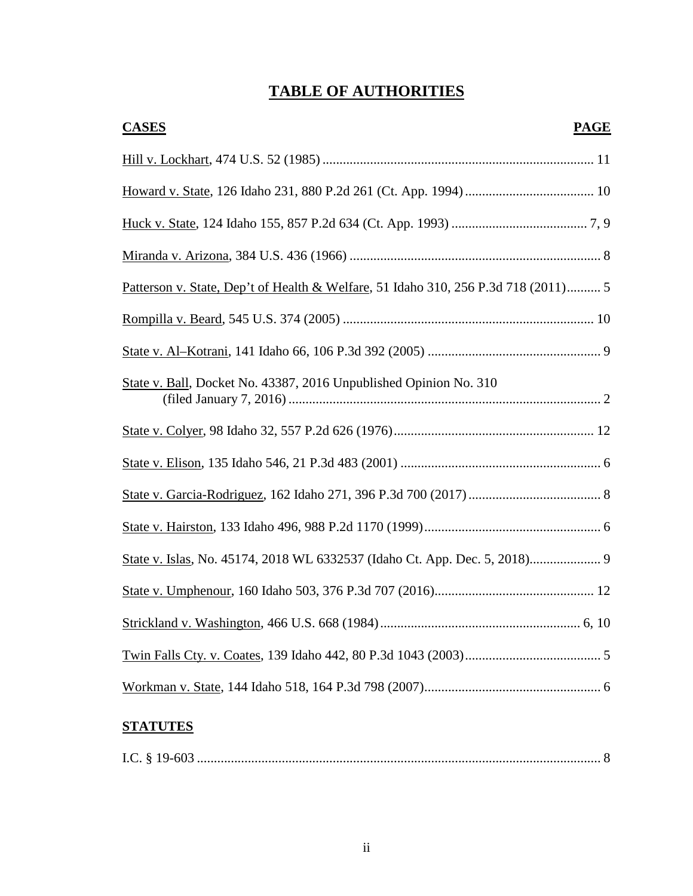# **TABLE OF AUTHORITIES**

| <b>CASES</b><br><b>PAGE</b>                                                        |
|------------------------------------------------------------------------------------|
|                                                                                    |
|                                                                                    |
|                                                                                    |
|                                                                                    |
| Patterson v. State, Dep't of Health & Welfare, 51 Idaho 310, 256 P.3d 718 (2011) 5 |
|                                                                                    |
|                                                                                    |
| State v. Ball, Docket No. 43387, 2016 Unpublished Opinion No. 310                  |
|                                                                                    |
|                                                                                    |
|                                                                                    |
|                                                                                    |
| State v. Islas, No. 45174, 2018 WL 6332537 (Idaho Ct. App. Dec. 5, 2018) 9         |
|                                                                                    |
|                                                                                    |
|                                                                                    |
|                                                                                    |

## **STATUTES**

|--|--|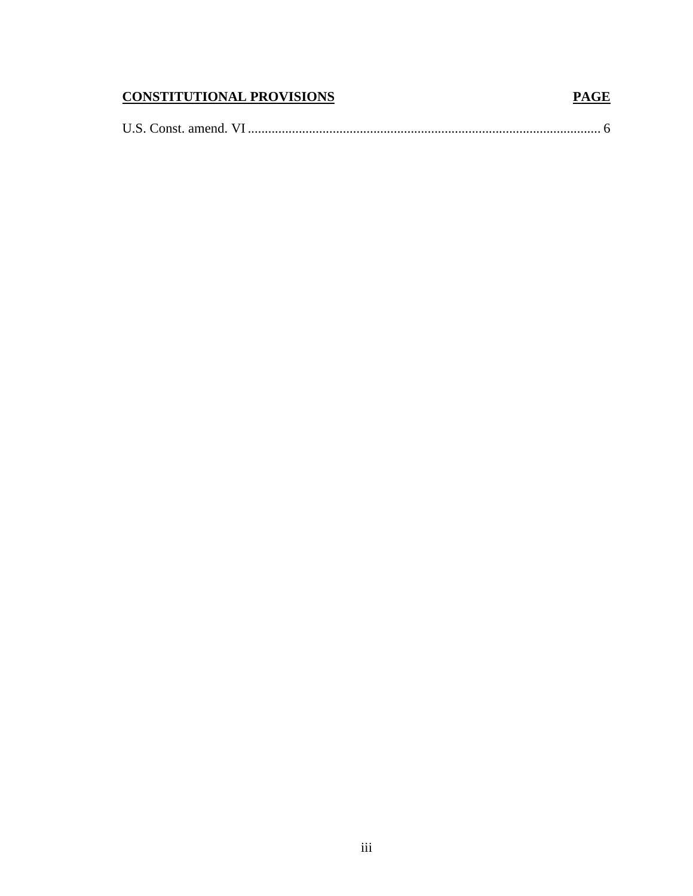## **CONSTITUTIONAL PROVISIONS**

|--|--|--|

**PAGE**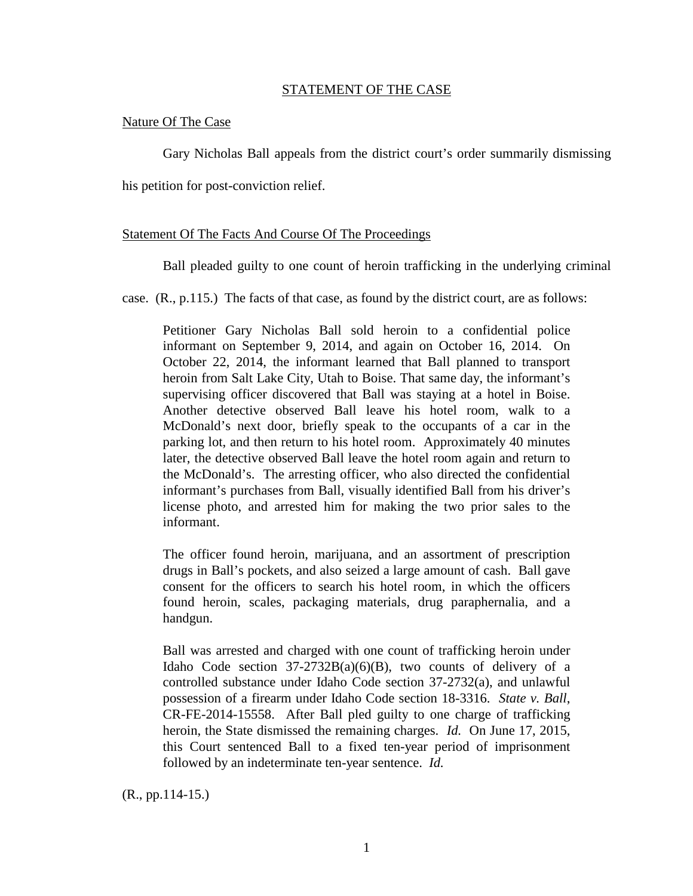#### STATEMENT OF THE CASE

#### Nature Of The Case

Gary Nicholas Ball appeals from the district court's order summarily dismissing

his petition for post-conviction relief.

#### Statement Of The Facts And Course Of The Proceedings

Ball pleaded guilty to one count of heroin trafficking in the underlying criminal

case. (R., p.115.) The facts of that case, as found by the district court, are as follows:

Petitioner Gary Nicholas Ball sold heroin to a confidential police informant on September 9, 2014, and again on October 16, 2014. On October 22, 2014, the informant learned that Ball planned to transport heroin from Salt Lake City, Utah to Boise. That same day, the informant's supervising officer discovered that Ball was staying at a hotel in Boise. Another detective observed Ball leave his hotel room, walk to a McDonald's next door, briefly speak to the occupants of a car in the parking lot, and then return to his hotel room. Approximately 40 minutes later, the detective observed Ball leave the hotel room again and return to the McDonald's. The arresting officer, who also directed the confidential informant's purchases from Ball, visually identified Ball from his driver's license photo, and arrested him for making the two prior sales to the informant.

The officer found heroin, marijuana, and an assortment of prescription drugs in Ball's pockets, and also seized a large amount of cash. Ball gave consent for the officers to search his hotel room, in which the officers found heroin, scales, packaging materials, drug paraphernalia, and a handgun.

Ball was arrested and charged with one count of trafficking heroin under Idaho Code section  $37-2732B(a)(6)(B)$ , two counts of delivery of a controlled substance under Idaho Code section 37-2732(a), and unlawful possession of a firearm under Idaho Code section 18-3316. *State v. Ball*, CR-FE-2014-15558. After Ball pled guilty to one charge of trafficking heroin, the State dismissed the remaining charges. *Id.* On June 17, 2015, this Court sentenced Ball to a fixed ten-year period of imprisonment followed by an indeterminate ten-year sentence. *Id.*

(R., pp.114-15.)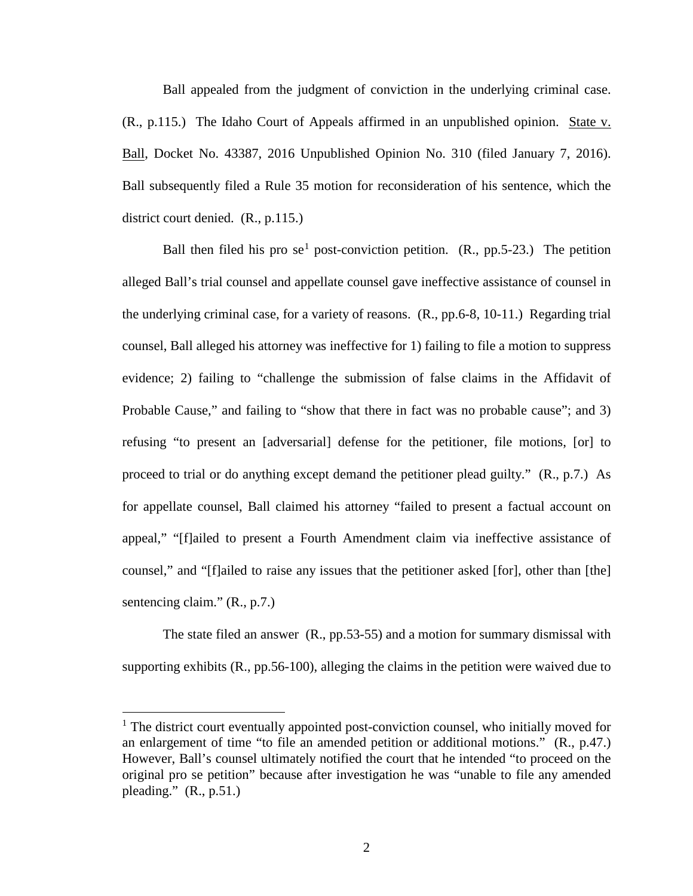Ball appealed from the judgment of conviction in the underlying criminal case. (R., p.115.) The Idaho Court of Appeals affirmed in an unpublished opinion. State v. Ball, Docket No. 43387, 2016 Unpublished Opinion No. 310 (filed January 7, 2016). Ball subsequently filed a Rule 35 motion for reconsideration of his sentence, which the district court denied. (R., p.115.)

Ball then filed his pro se<sup>[1](#page--1-0)</sup> post-conviction petition.  $(R., pp.5-23.)$  The petition alleged Ball's trial counsel and appellate counsel gave ineffective assistance of counsel in the underlying criminal case, for a variety of reasons. (R., pp.6-8, 10-11.) Regarding trial counsel, Ball alleged his attorney was ineffective for 1) failing to file a motion to suppress evidence; 2) failing to "challenge the submission of false claims in the Affidavit of Probable Cause," and failing to "show that there in fact was no probable cause"; and 3) refusing "to present an [adversarial] defense for the petitioner, file motions, [or] to proceed to trial or do anything except demand the petitioner plead guilty." (R., p.7.) As for appellate counsel, Ball claimed his attorney "failed to present a factual account on appeal," "[f]ailed to present a Fourth Amendment claim via ineffective assistance of counsel," and "[f]ailed to raise any issues that the petitioner asked [for], other than [the] sentencing claim." (R., p.7.)

The state filed an answer (R., pp.53-55) and a motion for summary dismissal with supporting exhibits (R., pp.56-100), alleging the claims in the petition were waived due to

<sup>&</sup>lt;sup>1</sup> The district court eventually appointed post-conviction counsel, who initially moved for an enlargement of time "to file an amended petition or additional motions." (R., p.47.) However, Ball's counsel ultimately notified the court that he intended "to proceed on the original pro se petition" because after investigation he was "unable to file any amended pleading."  $(R., p.51.)$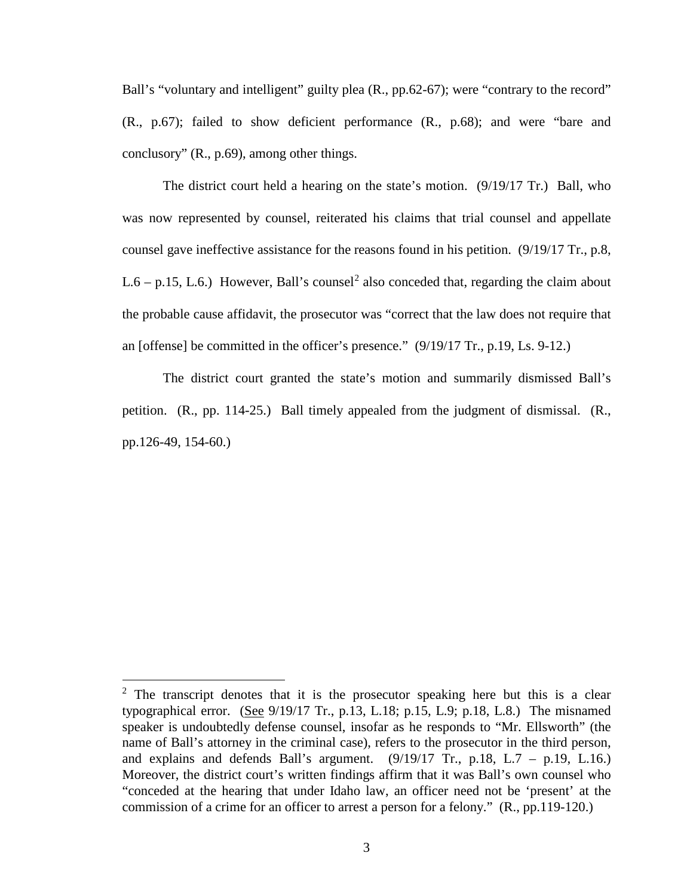Ball's "voluntary and intelligent" guilty plea (R., pp.62-67); were "contrary to the record" (R., p.67); failed to show deficient performance (R., p.68); and were "bare and conclusory" (R., p.69), among other things.

The district court held a hearing on the state's motion. (9/19/17 Tr.) Ball, who was now represented by counsel, reiterated his claims that trial counsel and appellate counsel gave ineffective assistance for the reasons found in his petition. (9/19/17 Tr., p.8, L.6 – p.15, L.6.) However, Ball's counsel<sup>[2](#page--1-1)</sup> also conceded that, regarding the claim about the probable cause affidavit, the prosecutor was "correct that the law does not require that an [offense] be committed in the officer's presence." (9/19/17 Tr., p.19, Ls. 9-12.)

The district court granted the state's motion and summarily dismissed Ball's petition. (R., pp. 114-25.) Ball timely appealed from the judgment of dismissal. (R., pp.126-49, 154-60.)

 $2$  The transcript denotes that it is the prosecutor speaking here but this is a clear typographical error. (See 9/19/17 Tr., p.13, L.18; p.15, L.9; p.18, L.8.) The misnamed speaker is undoubtedly defense counsel, insofar as he responds to "Mr. Ellsworth" (the name of Ball's attorney in the criminal case), refers to the prosecutor in the third person, and explains and defends Ball's argument.  $(9/19/17 \text{ Tr.}, \text{ p.18}, \text{ L.7} - \text{ p.19}, \text{ L.16.})$ Moreover, the district court's written findings affirm that it was Ball's own counsel who "conceded at the hearing that under Idaho law, an officer need not be 'present' at the commission of a crime for an officer to arrest a person for a felony." (R., pp.119-120.)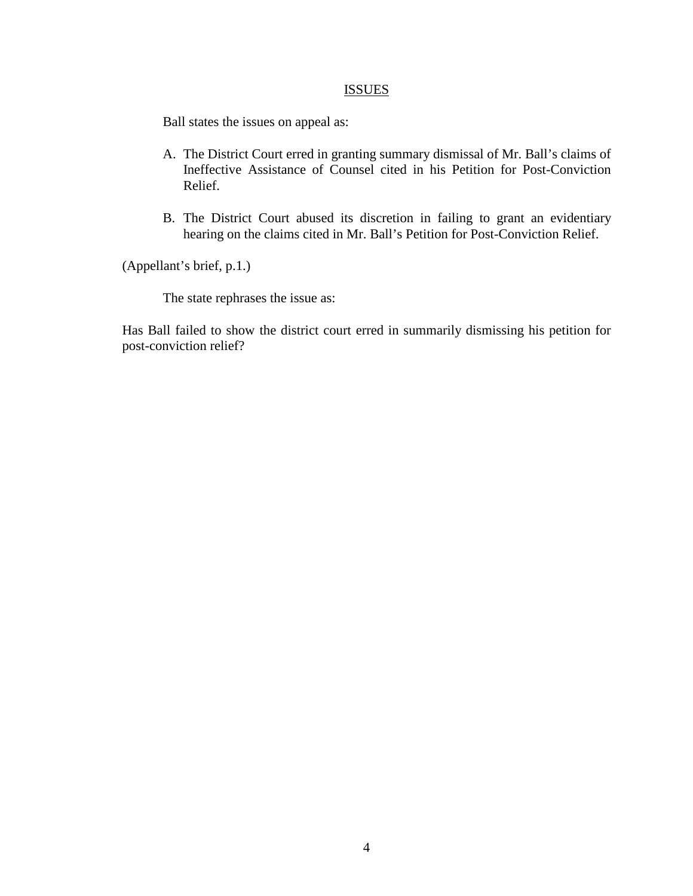#### **ISSUES**

Ball states the issues on appeal as:

- A. The District Court erred in granting summary dismissal of Mr. Ball's claims of Ineffective Assistance of Counsel cited in his Petition for Post-Conviction Relief.
- B. The District Court abused its discretion in failing to grant an evidentiary hearing on the claims cited in Mr. Ball's Petition for Post-Conviction Relief.

(Appellant's brief, p.1.)

The state rephrases the issue as:

Has Ball failed to show the district court erred in summarily dismissing his petition for post-conviction relief?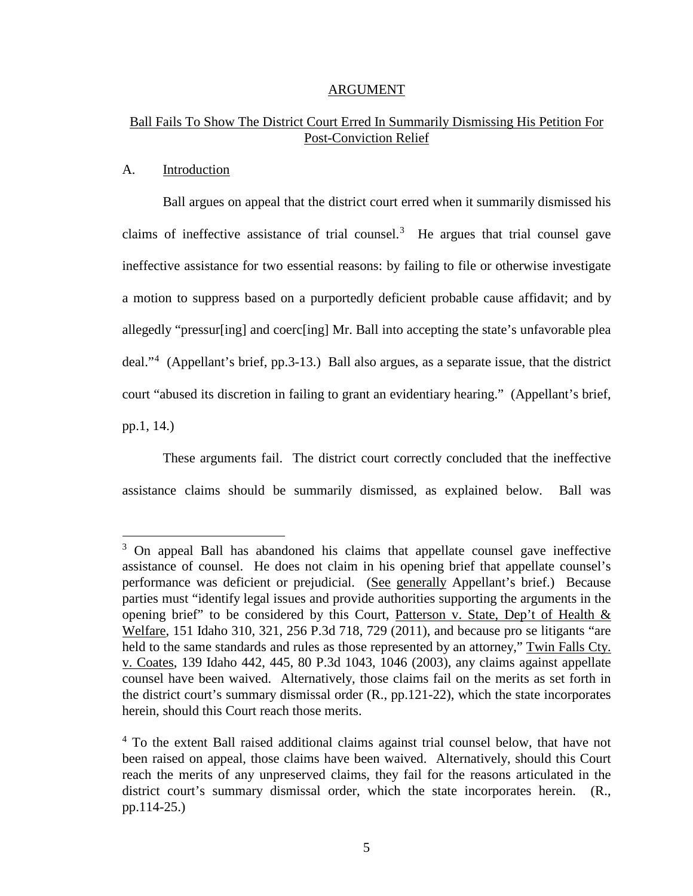#### ARGUMENT

## Ball Fails To Show The District Court Erred In Summarily Dismissing His Petition For Post-Conviction Relief

#### A. Introduction

 $\overline{a}$ 

Ball argues on appeal that the district court erred when it summarily dismissed his claims of ineffective assistance of trial counsel.<sup>[3](#page--1-2)</sup> He argues that trial counsel gave ineffective assistance for two essential reasons: by failing to file or otherwise investigate a motion to suppress based on a purportedly deficient probable cause affidavit; and by allegedly "pressur[ing] and coerc[ing] Mr. Ball into accepting the state's unfavorable plea deal."[4](#page--1-3) (Appellant's brief, pp.3-13.) Ball also argues, as a separate issue, that the district court "abused its discretion in failing to grant an evidentiary hearing." (Appellant's brief, pp.1, 14.)

These arguments fail. The district court correctly concluded that the ineffective assistance claims should be summarily dismissed, as explained below. Ball was

<sup>&</sup>lt;sup>3</sup> On appeal Ball has abandoned his claims that appellate counsel gave ineffective assistance of counsel. He does not claim in his opening brief that appellate counsel's performance was deficient or prejudicial. (See generally Appellant's brief.) Because parties must "identify legal issues and provide authorities supporting the arguments in the opening brief" to be considered by this Court, Patterson v. State, Dep't of Health & Welfare, 151 Idaho 310, 321, 256 P.3d 718, 729 (2011), and because pro se litigants "are held to the same standards and rules as those represented by an attorney," Twin Falls Cty. v. Coates, 139 Idaho 442, 445, 80 P.3d 1043, 1046 (2003), any claims against appellate counsel have been waived. Alternatively, those claims fail on the merits as set forth in the district court's summary dismissal order (R., pp.121-22), which the state incorporates herein, should this Court reach those merits.

<sup>&</sup>lt;sup>4</sup> To the extent Ball raised additional claims against trial counsel below, that have not been raised on appeal, those claims have been waived. Alternatively, should this Court reach the merits of any unpreserved claims, they fail for the reasons articulated in the district court's summary dismissal order, which the state incorporates herein. (R., pp.114-25.)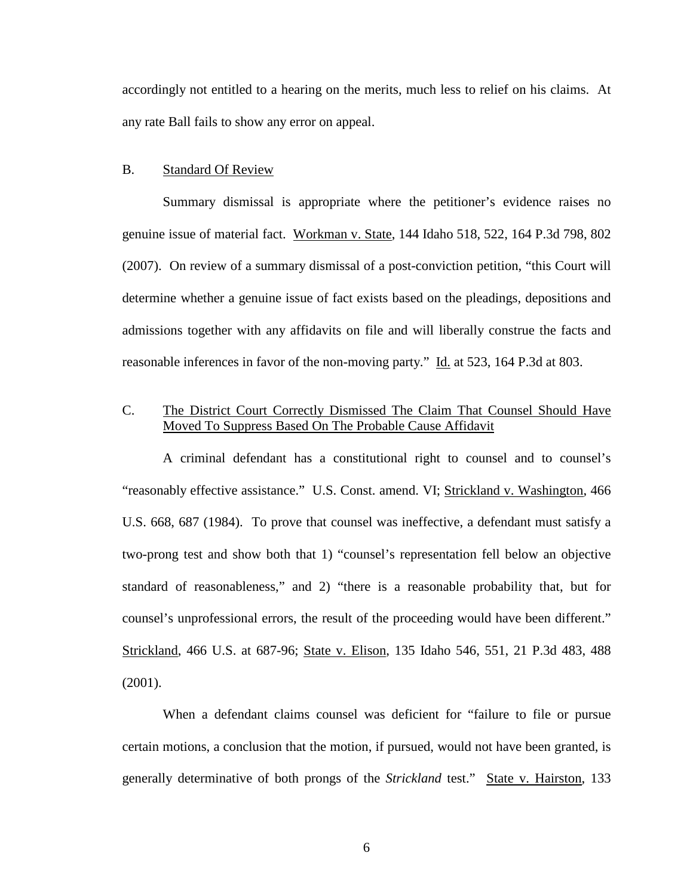accordingly not entitled to a hearing on the merits, much less to relief on his claims. At any rate Ball fails to show any error on appeal.

#### B. Standard Of Review

Summary dismissal is appropriate where the petitioner's evidence raises no genuine issue of material fact. Workman v. State, 144 Idaho 518, 522, 164 P.3d 798, 802 (2007). On review of a summary dismissal of a post-conviction petition, "this Court will determine whether a genuine issue of fact exists based on the pleadings, depositions and admissions together with any affidavits on file and will liberally construe the facts and reasonable inferences in favor of the non-moving party." Id. at 523, 164 P.3d at 803.

## C. The District Court Correctly Dismissed The Claim That Counsel Should Have Moved To Suppress Based On The Probable Cause Affidavit

A criminal defendant has a constitutional right to counsel and to counsel's "reasonably effective assistance." U.S. Const. amend. VI; Strickland v. Washington, 466 U.S. 668, 687 (1984). To prove that counsel was ineffective, a defendant must satisfy a two-prong test and show both that 1) "counsel's representation fell below an objective standard of reasonableness," and 2) "there is a reasonable probability that, but for counsel's unprofessional errors, the result of the proceeding would have been different." Strickland, 466 U.S. at 687-96; State v. Elison, 135 Idaho 546, 551, 21 P.3d 483, 488 (2001).

When a defendant claims counsel was deficient for "failure to file or pursue certain motions, a conclusion that the motion, if pursued, would not have been granted, is generally determinative of both prongs of the *Strickland* test." State v. Hairston, 133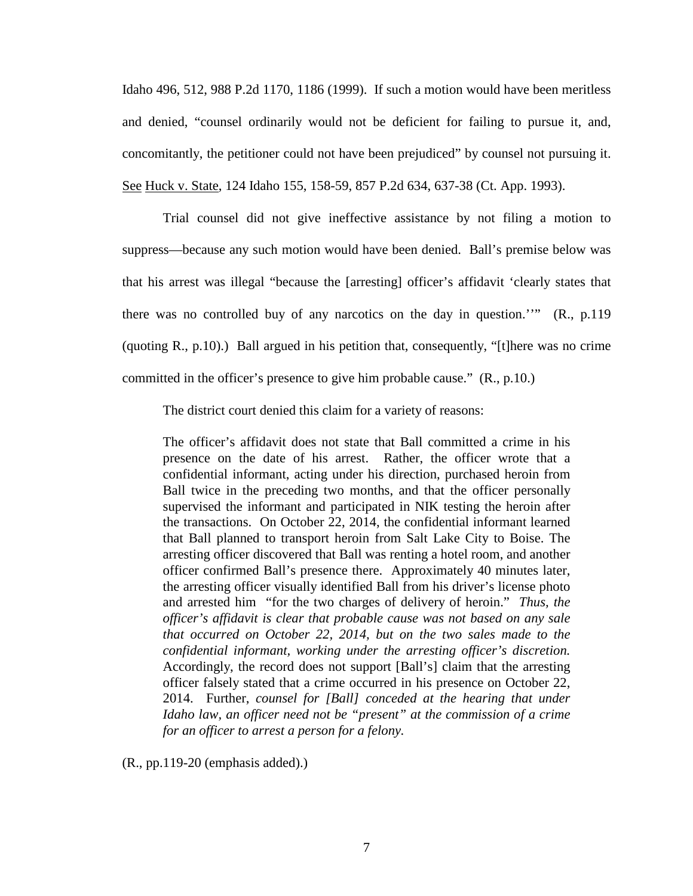Idaho 496, 512, 988 P.2d 1170, 1186 (1999). If such a motion would have been meritless and denied, "counsel ordinarily would not be deficient for failing to pursue it, and, concomitantly, the petitioner could not have been prejudiced" by counsel not pursuing it. See Huck v. State, 124 Idaho 155, 158-59, 857 P.2d 634, 637-38 (Ct. App. 1993).

Trial counsel did not give ineffective assistance by not filing a motion to suppress—because any such motion would have been denied. Ball's premise below was that his arrest was illegal "because the [arresting] officer's affidavit 'clearly states that there was no controlled buy of any narcotics on the day in question.''" (R., p.119 (quoting R., p.10).) Ball argued in his petition that, consequently, "[t]here was no crime committed in the officer's presence to give him probable cause." (R., p.10.)

The district court denied this claim for a variety of reasons:

The officer's affidavit does not state that Ball committed a crime in his presence on the date of his arrest. Rather, the officer wrote that a confidential informant, acting under his direction, purchased heroin from Ball twice in the preceding two months, and that the officer personally supervised the informant and participated in NIK testing the heroin after the transactions. On October 22, 2014, the confidential informant learned that Ball planned to transport heroin from Salt Lake City to Boise. The arresting officer discovered that Ball was renting a hotel room, and another officer confirmed Ball's presence there. Approximately 40 minutes later, the arresting officer visually identified Ball from his driver's license photo and arrested him "for the two charges of delivery of heroin." *Thus, the officer's affidavit is clear that probable cause was not based on any sale that occurred on October 22, 2014, but on the two sales made to the confidential informant, working under the arresting officer's discretion.*  Accordingly, the record does not support [Ball's] claim that the arresting officer falsely stated that a crime occurred in his presence on October 22, 2014. Further, *counsel for [Ball] conceded at the hearing that under Idaho law, an officer need not be "present" at the commission of a crime for an officer to arrest a person for a felony.*

(R., pp.119-20 (emphasis added).)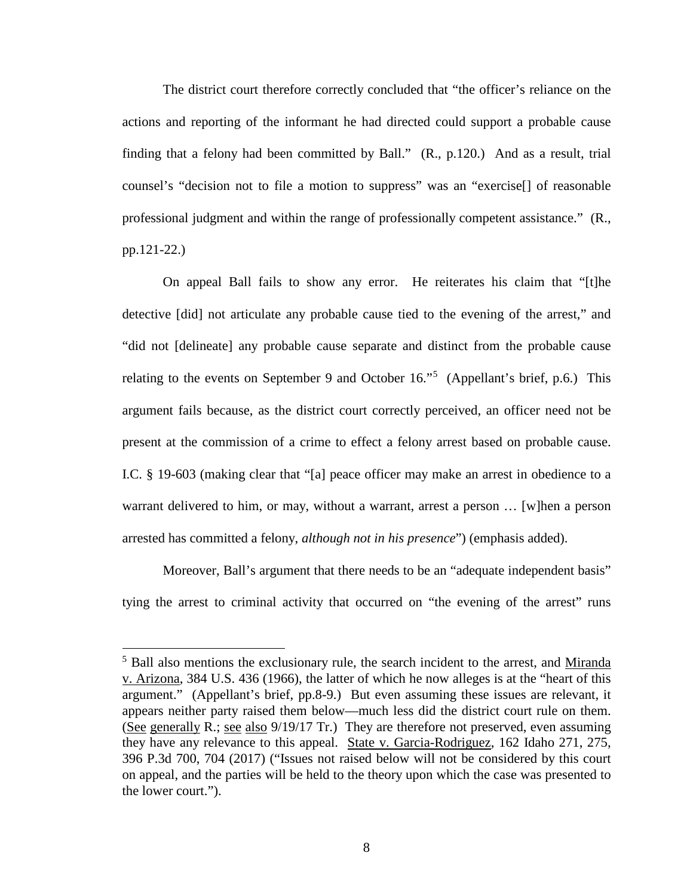The district court therefore correctly concluded that "the officer's reliance on the actions and reporting of the informant he had directed could support a probable cause finding that a felony had been committed by Ball." (R., p.120.) And as a result, trial counsel's "decision not to file a motion to suppress" was an "exercise[] of reasonable professional judgment and within the range of professionally competent assistance." (R., pp.121-22.)

On appeal Ball fails to show any error. He reiterates his claim that "[t]he detective [did] not articulate any probable cause tied to the evening of the arrest," and "did not [delineate] any probable cause separate and distinct from the probable cause relating to the events on September 9 and October 16."<sup>[5](#page--1-4)</sup> (Appellant's brief, p.6.) This argument fails because, as the district court correctly perceived, an officer need not be present at the commission of a crime to effect a felony arrest based on probable cause. I.C. § 19-603 (making clear that "[a] peace officer may make an arrest in obedience to a warrant delivered to him, or may, without a warrant, arrest a person ... [w]hen a person arrested has committed a felony, *although not in his presence*") (emphasis added).

Moreover, Ball's argument that there needs to be an "adequate independent basis" tying the arrest to criminal activity that occurred on "the evening of the arrest" runs

<sup>&</sup>lt;sup>5</sup> Ball also mentions the exclusionary rule, the search incident to the arrest, and Miranda v. Arizona, 384 U.S. 436 (1966), the latter of which he now alleges is at the "heart of this argument." (Appellant's brief, pp.8-9.) But even assuming these issues are relevant, it appears neither party raised them below—much less did the district court rule on them. (See generally R.; see also 9/19/17 Tr.) They are therefore not preserved, even assuming they have any relevance to this appeal. State v. Garcia-Rodriguez, 162 Idaho 271, 275, 396 P.3d 700, 704 (2017) ("Issues not raised below will not be considered by this court on appeal, and the parties will be held to the theory upon which the case was presented to the lower court.").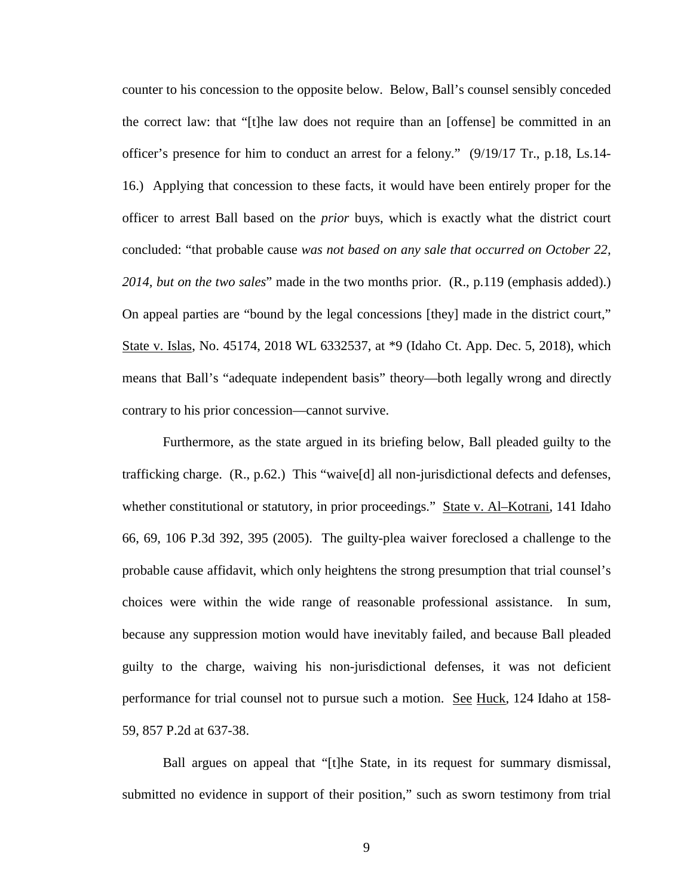counter to his concession to the opposite below. Below, Ball's counsel sensibly conceded the correct law: that "[t]he law does not require than an [offense] be committed in an officer's presence for him to conduct an arrest for a felony." (9/19/17 Tr., p.18, Ls.14- 16.) Applying that concession to these facts, it would have been entirely proper for the officer to arrest Ball based on the *prior* buys, which is exactly what the district court concluded: "that probable cause *was not based on any sale that occurred on October 22, 2014, but on the two sales*" made in the two months prior. (R., p.119 (emphasis added).) On appeal parties are "bound by the legal concessions [they] made in the district court," State v. Islas, No. 45174, 2018 WL 6332537, at \*9 (Idaho Ct. App. Dec. 5, 2018), which means that Ball's "adequate independent basis" theory—both legally wrong and directly contrary to his prior concession—cannot survive.

Furthermore, as the state argued in its briefing below, Ball pleaded guilty to the trafficking charge. (R., p.62.) This "waive[d] all non-jurisdictional defects and defenses, whether constitutional or statutory, in prior proceedings." State v. Al–Kotrani, 141 Idaho 66, 69, 106 P.3d 392, 395 (2005). The guilty-plea waiver foreclosed a challenge to the probable cause affidavit, which only heightens the strong presumption that trial counsel's choices were within the wide range of reasonable professional assistance. In sum, because any suppression motion would have inevitably failed, and because Ball pleaded guilty to the charge, waiving his non-jurisdictional defenses, it was not deficient performance for trial counsel not to pursue such a motion. See Huck, 124 Idaho at 158- 59, 857 P.2d at 637-38.

Ball argues on appeal that "[t]he State, in its request for summary dismissal, submitted no evidence in support of their position," such as sworn testimony from trial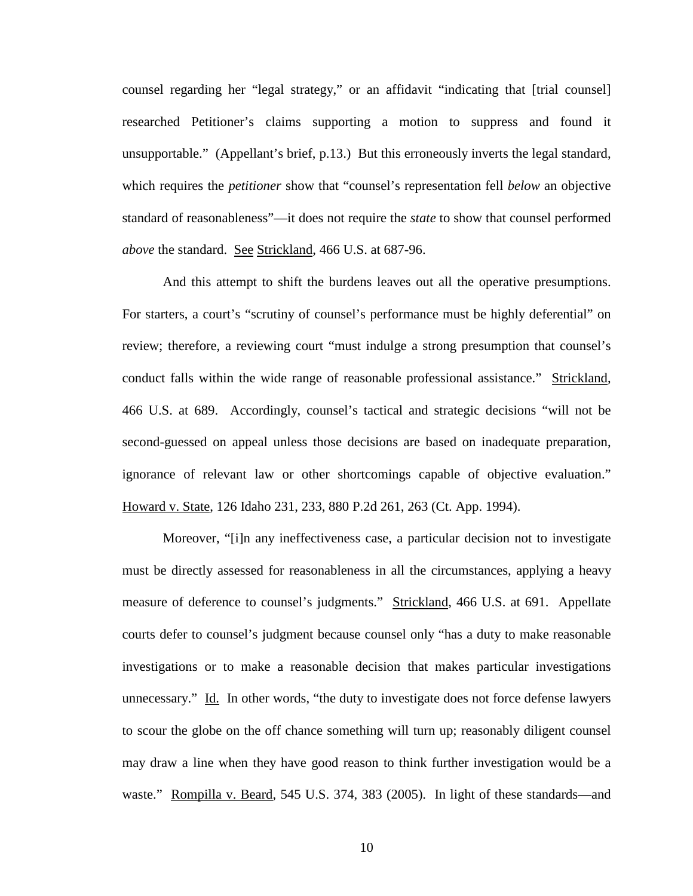counsel regarding her "legal strategy," or an affidavit "indicating that [trial counsel] researched Petitioner's claims supporting a motion to suppress and found it unsupportable." (Appellant's brief, p.13.) But this erroneously inverts the legal standard, which requires the *petitioner* show that "counsel's representation fell *below* an objective standard of reasonableness"—it does not require the *state* to show that counsel performed *above* the standard. See Strickland, 466 U.S. at 687-96.

And this attempt to shift the burdens leaves out all the operative presumptions. For starters, a court's "scrutiny of counsel's performance must be highly deferential" on review; therefore, a reviewing court "must indulge a strong presumption that counsel's conduct falls within the wide range of reasonable professional assistance." Strickland, 466 U.S. at 689. Accordingly, counsel's tactical and strategic decisions "will not be second-guessed on appeal unless those decisions are based on inadequate preparation, ignorance of relevant law or other shortcomings capable of objective evaluation." Howard v. State, 126 Idaho 231, 233, 880 P.2d 261, 263 (Ct. App. 1994).

Moreover, "[i]n any ineffectiveness case, a particular decision not to investigate must be directly assessed for reasonableness in all the circumstances, applying a heavy measure of deference to counsel's judgments." Strickland, 466 U.S. at 691. Appellate courts defer to counsel's judgment because counsel only "has a duty to make reasonable investigations or to make a reasonable decision that makes particular investigations unnecessary." Id. In other words, "the duty to investigate does not force defense lawyers to scour the globe on the off chance something will turn up; reasonably diligent counsel may draw a line when they have good reason to think further investigation would be a waste." Rompilla v. Beard, 545 U.S. 374, 383 (2005). In light of these standards—and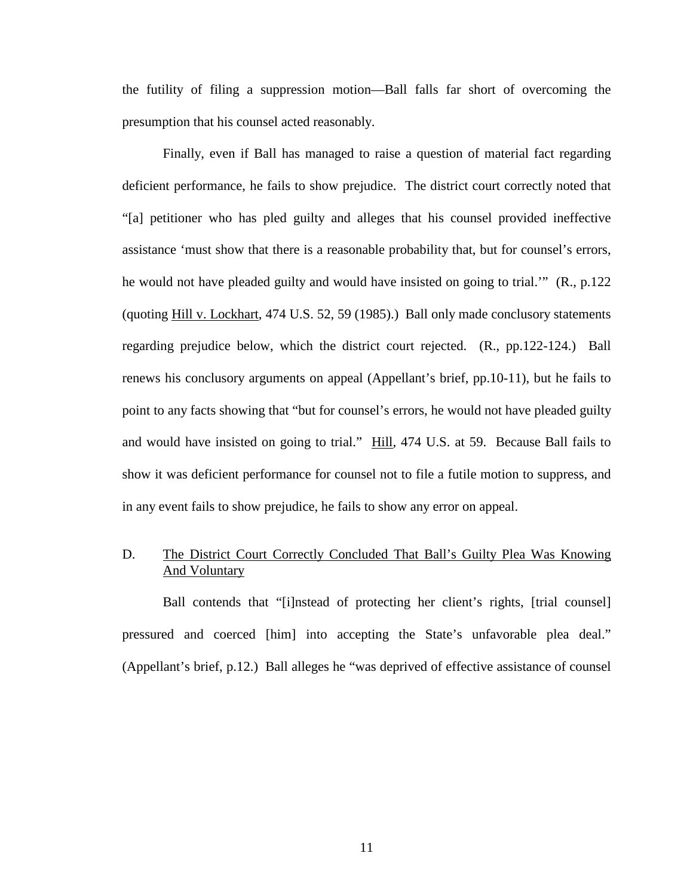the futility of filing a suppression motion—Ball falls far short of overcoming the presumption that his counsel acted reasonably.

Finally, even if Ball has managed to raise a question of material fact regarding deficient performance, he fails to show prejudice. The district court correctly noted that "[a] petitioner who has pled guilty and alleges that his counsel provided ineffective assistance 'must show that there is a reasonable probability that, but for counsel's errors, he would not have pleaded guilty and would have insisted on going to trial.'" (R., p.122 (quoting Hill v. Lockhart, 474 U.S. 52, 59 (1985).) Ball only made conclusory statements regarding prejudice below, which the district court rejected. (R., pp.122-124.) Ball renews his conclusory arguments on appeal (Appellant's brief, pp.10-11), but he fails to point to any facts showing that "but for counsel's errors, he would not have pleaded guilty and would have insisted on going to trial." Hill, 474 U.S. at 59. Because Ball fails to show it was deficient performance for counsel not to file a futile motion to suppress, and in any event fails to show prejudice, he fails to show any error on appeal.

## D. The District Court Correctly Concluded That Ball's Guilty Plea Was Knowing And Voluntary

Ball contends that "[i]nstead of protecting her client's rights, [trial counsel] pressured and coerced [him] into accepting the State's unfavorable plea deal." (Appellant's brief, p.12.) Ball alleges he "was deprived of effective assistance of counsel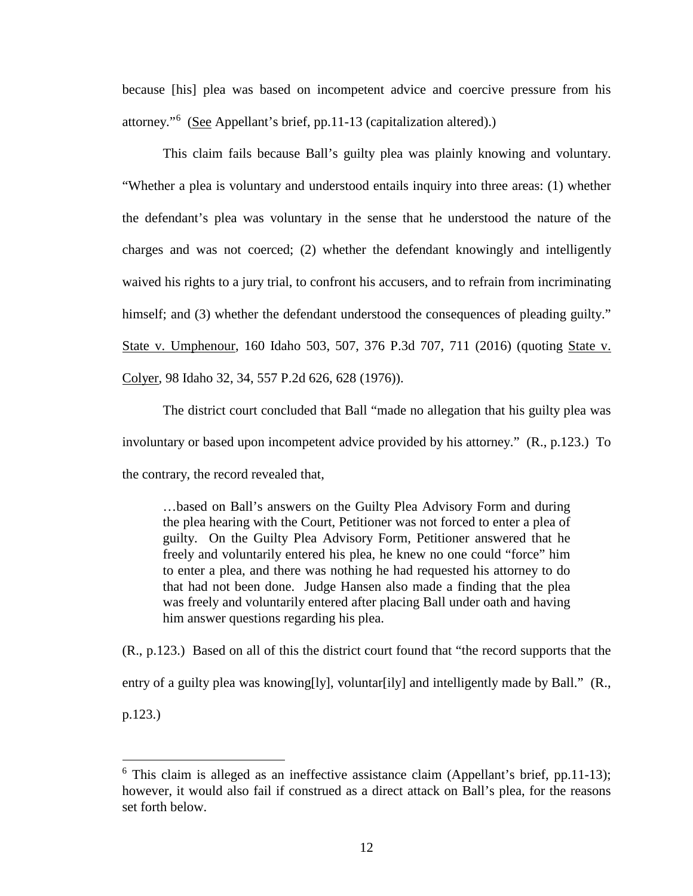because [his] plea was based on incompetent advice and coercive pressure from his attorney."<sup>[6](#page--1-5)</sup> (See Appellant's brief, pp.11-13 (capitalization altered).)

This claim fails because Ball's guilty plea was plainly knowing and voluntary. "Whether a plea is voluntary and understood entails inquiry into three areas: (1) whether the defendant's plea was voluntary in the sense that he understood the nature of the charges and was not coerced; (2) whether the defendant knowingly and intelligently waived his rights to a jury trial, to confront his accusers, and to refrain from incriminating himself; and (3) whether the defendant understood the consequences of pleading guilty." State v. Umphenour, 160 Idaho 503, 507, 376 P.3d 707, 711 (2016) (quoting State v. Colyer, 98 Idaho 32, 34, 557 P.2d 626, 628 (1976)).

 The district court concluded that Ball "made no allegation that his guilty plea was involuntary or based upon incompetent advice provided by his attorney." (R., p.123.) To the contrary, the record revealed that,

…based on Ball's answers on the Guilty Plea Advisory Form and during the plea hearing with the Court, Petitioner was not forced to enter a plea of guilty. On the Guilty Plea Advisory Form, Petitioner answered that he freely and voluntarily entered his plea, he knew no one could "force" him to enter a plea, and there was nothing he had requested his attorney to do that had not been done. Judge Hansen also made a finding that the plea was freely and voluntarily entered after placing Ball under oath and having him answer questions regarding his plea.

(R., p.123.) Based on all of this the district court found that "the record supports that the entry of a guilty plea was knowing[ly], voluntar[ily] and intelligently made by Ball." (R.,

p.123.)

 $6$  This claim is alleged as an ineffective assistance claim (Appellant's brief, pp.11-13); however, it would also fail if construed as a direct attack on Ball's plea, for the reasons set forth below.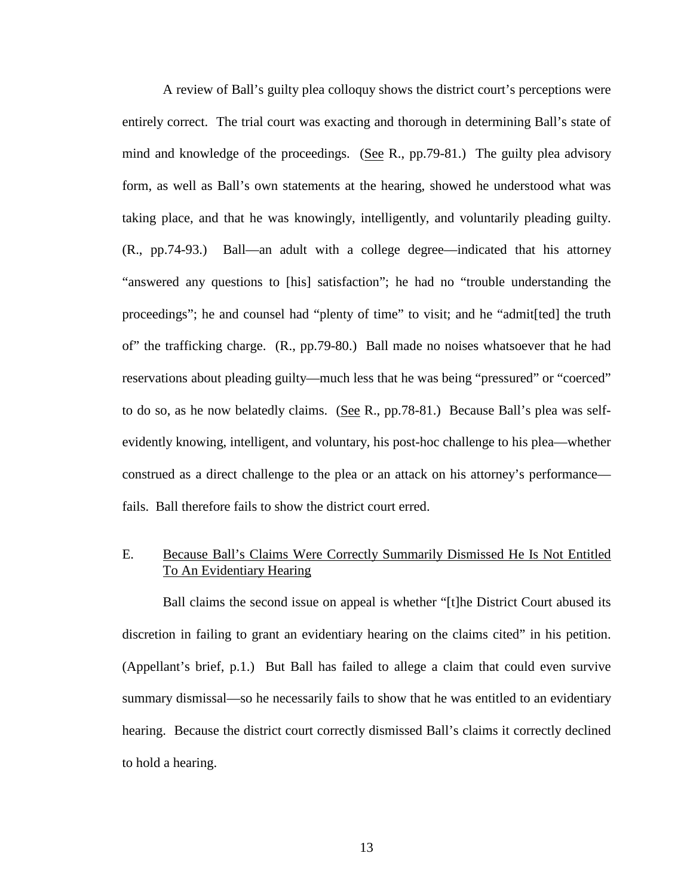A review of Ball's guilty plea colloquy shows the district court's perceptions were entirely correct. The trial court was exacting and thorough in determining Ball's state of mind and knowledge of the proceedings. (See R., pp.79-81.) The guilty plea advisory form, as well as Ball's own statements at the hearing, showed he understood what was taking place, and that he was knowingly, intelligently, and voluntarily pleading guilty. (R., pp.74-93.) Ball—an adult with a college degree—indicated that his attorney "answered any questions to [his] satisfaction"; he had no "trouble understanding the proceedings"; he and counsel had "plenty of time" to visit; and he "admit[ted] the truth of" the trafficking charge. (R., pp.79-80.) Ball made no noises whatsoever that he had reservations about pleading guilty—much less that he was being "pressured" or "coerced" to do so, as he now belatedly claims. (See R., pp.78-81.) Because Ball's plea was selfevidently knowing, intelligent, and voluntary, his post-hoc challenge to his plea—whether construed as a direct challenge to the plea or an attack on his attorney's performance fails. Ball therefore fails to show the district court erred.

## E. Because Ball's Claims Were Correctly Summarily Dismissed He Is Not Entitled To An Evidentiary Hearing

Ball claims the second issue on appeal is whether "[t]he District Court abused its discretion in failing to grant an evidentiary hearing on the claims cited" in his petition. (Appellant's brief, p.1.) But Ball has failed to allege a claim that could even survive summary dismissal—so he necessarily fails to show that he was entitled to an evidentiary hearing. Because the district court correctly dismissed Ball's claims it correctly declined to hold a hearing.